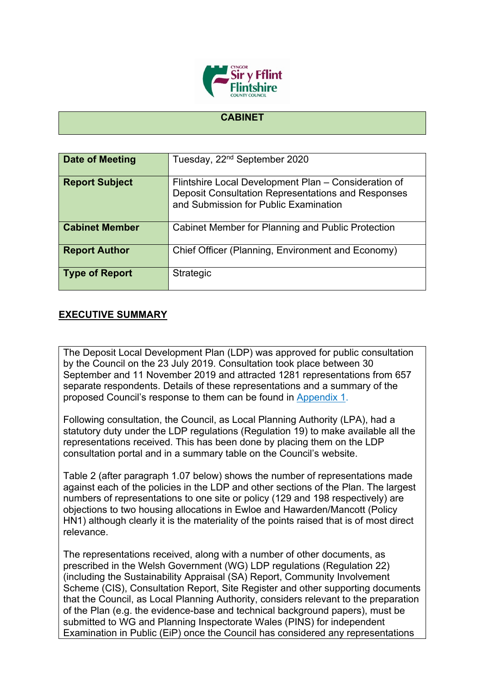

## **CABINET**

| Date of Meeting       | Tuesday, 22 <sup>nd</sup> September 2020                                                                                                            |
|-----------------------|-----------------------------------------------------------------------------------------------------------------------------------------------------|
| <b>Report Subject</b> | Flintshire Local Development Plan - Consideration of<br>Deposit Consultation Representations and Responses<br>and Submission for Public Examination |
| <b>Cabinet Member</b> | Cabinet Member for Planning and Public Protection                                                                                                   |
| <b>Report Author</b>  | Chief Officer (Planning, Environment and Economy)                                                                                                   |
| <b>Type of Report</b> | Strategic                                                                                                                                           |

## **EXECUTIVE SUMMARY**

The Deposit Local Development Plan (LDP) was approved for public consultation by the Council on the 23 July 2019. Consultation took place between 30 September and 11 November 2019 and attracted 1281 representations from 657 separate respondents. Details of these representations and a summary of the proposed Council's response to them can be found in [Appendix](https://www.flintshire.gov.uk/en/PDFFiles/Planning/Planning-Policy-Misc/Appendix-1-LDP-Council-Response-Report.pdf) 1.

Following consultation, the Council, as Local Planning Authority (LPA), had a statutory duty under the LDP regulations (Regulation 19) to make available all the representations received. This has been done by placing them on the LDP consultation portal and in a summary table on the Council's website.

Table 2 (after paragraph 1.07 below) shows the number of representations made against each of the policies in the LDP and other sections of the Plan. The largest numbers of representations to one site or policy (129 and 198 respectively) are objections to two housing allocations in Ewloe and Hawarden/Mancott (Policy HN1) although clearly it is the materiality of the points raised that is of most direct relevance.

The representations received, along with a number of other documents, as prescribed in the Welsh Government (WG) LDP regulations (Regulation 22) (including the Sustainability Appraisal (SA) Report, Community Involvement Scheme (CIS), Consultation Report, Site Register and other supporting documents that the Council, as Local Planning Authority, considers relevant to the preparation of the Plan (e.g. the evidence-base and technical background papers), must be submitted to WG and Planning Inspectorate Wales (PINS) for independent Examination in Public (EiP) once the Council has considered any representations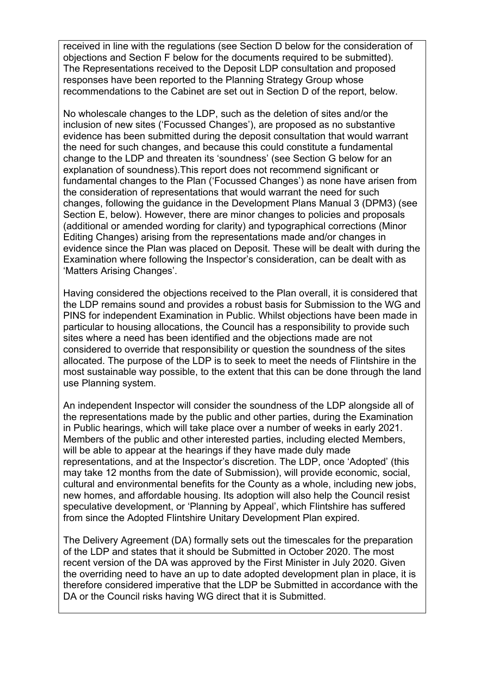received in line with the regulations (see Section D below for the consideration of objections and Section F below for the documents required to be submitted). The Representations received to the Deposit LDP consultation and proposed responses have been reported to the Planning Strategy Group whose recommendations to the Cabinet are set out in Section D of the report, below.

No wholescale changes to the LDP, such as the deletion of sites and/or the inclusion of new sites ('Focussed Changes'), are proposed as no substantive evidence has been submitted during the deposit consultation that would warrant the need for such changes, and because this could constitute a fundamental change to the LDP and threaten its 'soundness' (see Section G below for an explanation of soundness).This report does not recommend significant or fundamental changes to the Plan ('Focussed Changes') as none have arisen from the consideration of representations that would warrant the need for such changes, following the guidance in the Development Plans Manual 3 (DPM3) (see Section E, below). However, there are minor changes to policies and proposals (additional or amended wording for clarity) and typographical corrections (Minor Editing Changes) arising from the representations made and/or changes in evidence since the Plan was placed on Deposit. These will be dealt with during the Examination where following the Inspector's consideration, can be dealt with as 'Matters Arising Changes'.

Having considered the objections received to the Plan overall, it is considered that the LDP remains sound and provides a robust basis for Submission to the WG and PINS for independent Examination in Public. Whilst objections have been made in particular to housing allocations, the Council has a responsibility to provide such sites where a need has been identified and the objections made are not considered to override that responsibility or question the soundness of the sites allocated. The purpose of the LDP is to seek to meet the needs of Flintshire in the most sustainable way possible, to the extent that this can be done through the land use Planning system.

An independent Inspector will consider the soundness of the LDP alongside all of the representations made by the public and other parties, during the Examination in Public hearings, which will take place over a number of weeks in early 2021. Members of the public and other interested parties, including elected Members, will be able to appear at the hearings if they have made duly made representations, and at the Inspector's discretion. The LDP, once 'Adopted' (this may take 12 months from the date of Submission), will provide economic, social, cultural and environmental benefits for the County as a whole, including new jobs, new homes, and affordable housing. Its adoption will also help the Council resist speculative development, or 'Planning by Appeal', which Flintshire has suffered from since the Adopted Flintshire Unitary Development Plan expired.

The Delivery Agreement (DA) formally sets out the timescales for the preparation of the LDP and states that it should be Submitted in October 2020. The most recent version of the DA was approved by the First Minister in July 2020. Given the overriding need to have an up to date adopted development plan in place, it is therefore considered imperative that the LDP be Submitted in accordance with the DA or the Council risks having WG direct that it is Submitted.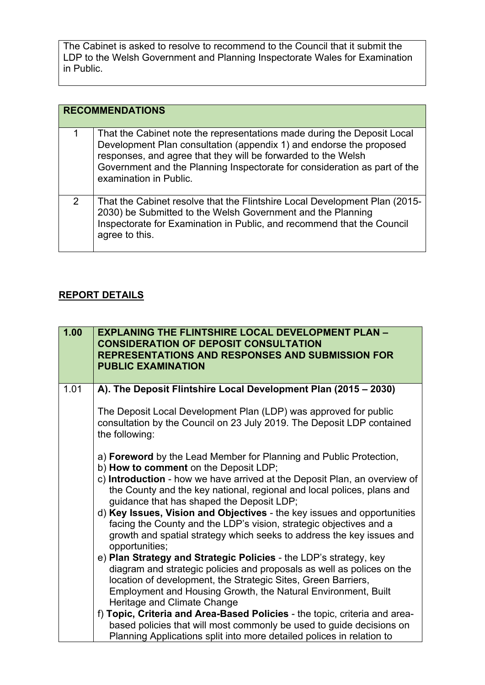The Cabinet is asked to resolve to recommend to the Council that it submit the LDP to the Welsh Government and Planning Inspectorate Wales for Examination in Public.

|   | <b>RECOMMENDATIONS</b>                                                                                                                                                                                                                                                                                                 |
|---|------------------------------------------------------------------------------------------------------------------------------------------------------------------------------------------------------------------------------------------------------------------------------------------------------------------------|
| 1 | That the Cabinet note the representations made during the Deposit Local<br>Development Plan consultation (appendix 1) and endorse the proposed<br>responses, and agree that they will be forwarded to the Welsh<br>Government and the Planning Inspectorate for consideration as part of the<br>examination in Public. |
| 2 | That the Cabinet resolve that the Flintshire Local Development Plan (2015-<br>2030) be Submitted to the Welsh Government and the Planning<br>Inspectorate for Examination in Public, and recommend that the Council<br>agree to this.                                                                                  |

## **REPORT DETAILS**

| 1.00 | <b>EXPLANING THE FLINTSHIRE LOCAL DEVELOPMENT PLAN -</b><br><b>CONSIDERATION OF DEPOSIT CONSULTATION</b><br><b>REPRESENTATIONS AND RESPONSES AND SUBMISSION FOR</b><br><b>PUBLIC EXAMINATION</b>                                         |
|------|------------------------------------------------------------------------------------------------------------------------------------------------------------------------------------------------------------------------------------------|
| 1.01 | A). The Deposit Flintshire Local Development Plan (2015 - 2030)                                                                                                                                                                          |
|      | The Deposit Local Development Plan (LDP) was approved for public<br>consultation by the Council on 23 July 2019. The Deposit LDP contained<br>the following:                                                                             |
|      | a) Foreword by the Lead Member for Planning and Public Protection,<br>b) How to comment on the Deposit LDP;                                                                                                                              |
|      | c) Introduction - how we have arrived at the Deposit Plan, an overview of<br>the County and the key national, regional and local polices, plans and<br>guidance that has shaped the Deposit LDP;                                         |
|      | d) Key Issues, Vision and Objectives - the key issues and opportunities<br>facing the County and the LDP's vision, strategic objectives and a<br>growth and spatial strategy which seeks to address the key issues and<br>opportunities; |
|      | e) Plan Strategy and Strategic Policies - the LDP's strategy, key<br>diagram and strategic policies and proposals as well as polices on the<br>location of development, the Strategic Sites, Green Barriers,                             |
|      | Employment and Housing Growth, the Natural Environment, Built<br>Heritage and Climate Change                                                                                                                                             |
|      | f) Topic, Criteria and Area-Based Policies - the topic, criteria and area-                                                                                                                                                               |
|      | based policies that will most commonly be used to guide decisions on<br>Planning Applications split into more detailed polices in relation to                                                                                            |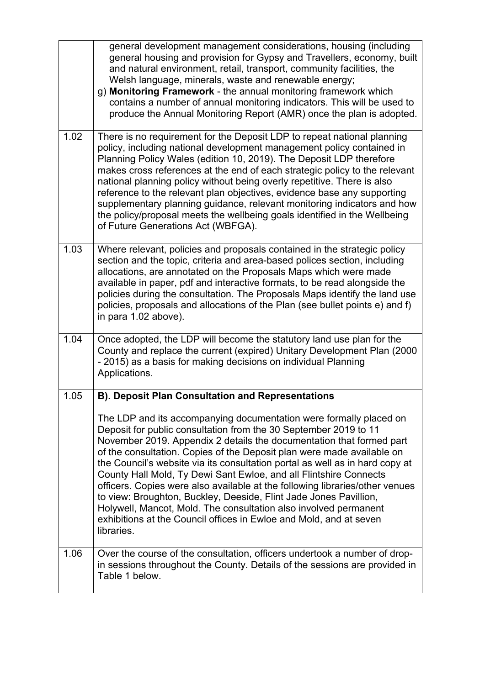|      | general development management considerations, housing (including<br>general housing and provision for Gypsy and Travellers, economy, built<br>and natural environment, retail, transport, community facilities, the<br>Welsh language, minerals, waste and renewable energy;<br>g) Monitoring Framework - the annual monitoring framework which<br>contains a number of annual monitoring indicators. This will be used to<br>produce the Annual Monitoring Report (AMR) once the plan is adopted.                                                                                                                                                                                                                                                        |
|------|------------------------------------------------------------------------------------------------------------------------------------------------------------------------------------------------------------------------------------------------------------------------------------------------------------------------------------------------------------------------------------------------------------------------------------------------------------------------------------------------------------------------------------------------------------------------------------------------------------------------------------------------------------------------------------------------------------------------------------------------------------|
| 1.02 | There is no requirement for the Deposit LDP to repeat national planning<br>policy, including national development management policy contained in<br>Planning Policy Wales (edition 10, 2019). The Deposit LDP therefore<br>makes cross references at the end of each strategic policy to the relevant<br>national planning policy without being overly repetitive. There is also<br>reference to the relevant plan objectives, evidence base any supporting<br>supplementary planning guidance, relevant monitoring indicators and how<br>the policy/proposal meets the wellbeing goals identified in the Wellbeing<br>of Future Generations Act (WBFGA).                                                                                                  |
| 1.03 | Where relevant, policies and proposals contained in the strategic policy<br>section and the topic, criteria and area-based polices section, including<br>allocations, are annotated on the Proposals Maps which were made<br>available in paper, pdf and interactive formats, to be read alongside the<br>policies during the consultation. The Proposals Maps identify the land use<br>policies, proposals and allocations of the Plan (see bullet points e) and f)<br>in para 1.02 above).                                                                                                                                                                                                                                                               |
| 1.04 | Once adopted, the LDP will become the statutory land use plan for the<br>County and replace the current (expired) Unitary Development Plan (2000<br>- 2015) as a basis for making decisions on individual Planning<br>Applications.                                                                                                                                                                                                                                                                                                                                                                                                                                                                                                                        |
| 1.05 | <b>B). Deposit Plan Consultation and Representations</b>                                                                                                                                                                                                                                                                                                                                                                                                                                                                                                                                                                                                                                                                                                   |
|      | The LDP and its accompanying documentation were formally placed on<br>Deposit for public consultation from the 30 September 2019 to 11<br>November 2019. Appendix 2 details the documentation that formed part<br>of the consultation. Copies of the Deposit plan were made available on<br>the Council's website via its consultation portal as well as in hard copy at<br>County Hall Mold, Ty Dewi Sant Ewloe, and all Flintshire Connects<br>officers. Copies were also available at the following libraries/other venues<br>to view: Broughton, Buckley, Deeside, Flint Jade Jones Pavillion,<br>Holywell, Mancot, Mold. The consultation also involved permanent<br>exhibitions at the Council offices in Ewloe and Mold, and at seven<br>libraries. |
| 1.06 | Over the course of the consultation, officers undertook a number of drop-<br>in sessions throughout the County. Details of the sessions are provided in<br>Table 1 below.                                                                                                                                                                                                                                                                                                                                                                                                                                                                                                                                                                                  |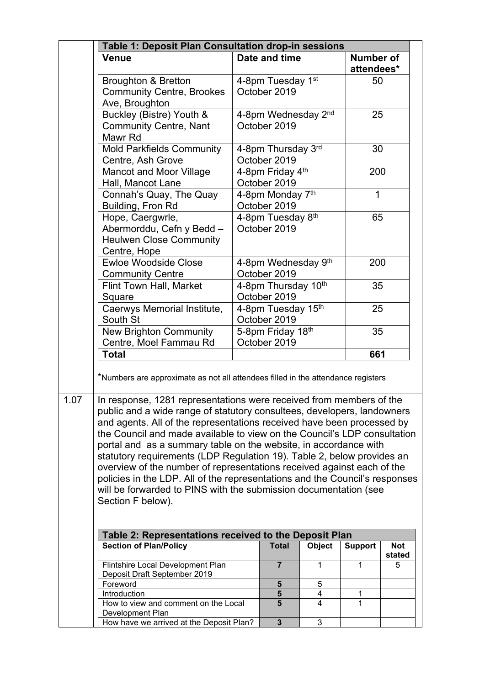|      | Table 1: Deposit Plan Consultation drop-in sessions                                                                                                                                                                                                                                                                                                                                                                                                                                                                                                                                                                                                                                                                                                                                      |                                     |        |                                |                      |
|------|------------------------------------------------------------------------------------------------------------------------------------------------------------------------------------------------------------------------------------------------------------------------------------------------------------------------------------------------------------------------------------------------------------------------------------------------------------------------------------------------------------------------------------------------------------------------------------------------------------------------------------------------------------------------------------------------------------------------------------------------------------------------------------------|-------------------------------------|--------|--------------------------------|----------------------|
|      | <b>Venue</b>                                                                                                                                                                                                                                                                                                                                                                                                                                                                                                                                                                                                                                                                                                                                                                             | Date and time                       |        | <b>Number of</b><br>attendees* |                      |
|      | <b>Broughton &amp; Bretton</b><br><b>Community Centre, Brookes</b><br>Ave, Broughton                                                                                                                                                                                                                                                                                                                                                                                                                                                                                                                                                                                                                                                                                                     | 4-8pm Tuesday 1st<br>October 2019   |        | 50                             |                      |
|      | Buckley (Bistre) Youth &<br><b>Community Centre, Nant</b><br>Mawr Rd                                                                                                                                                                                                                                                                                                                                                                                                                                                                                                                                                                                                                                                                                                                     | 4-8pm Wednesday 2nd<br>October 2019 |        | 25                             |                      |
|      | <b>Mold Parkfields Community</b><br>Centre, Ash Grove                                                                                                                                                                                                                                                                                                                                                                                                                                                                                                                                                                                                                                                                                                                                    | 4-8pm Thursday 3rd<br>October 2019  |        | 30                             |                      |
|      | <b>Mancot and Moor Village</b><br>Hall, Mancot Lane                                                                                                                                                                                                                                                                                                                                                                                                                                                                                                                                                                                                                                                                                                                                      | 4-8pm Friday 4th<br>October 2019    |        | 200                            |                      |
|      | Connah's Quay, The Quay<br>Building, Fron Rd                                                                                                                                                                                                                                                                                                                                                                                                                                                                                                                                                                                                                                                                                                                                             | 4-8pm Monday 7th<br>October 2019    |        | $\mathbf 1$                    |                      |
|      | Hope, Caergwrle,<br>Abermorddu, Cefn y Bedd -<br><b>Heulwen Close Community</b><br>Centre, Hope                                                                                                                                                                                                                                                                                                                                                                                                                                                                                                                                                                                                                                                                                          | 4-8pm Tuesday 8th<br>October 2019   |        | 65                             |                      |
|      | <b>Ewloe Woodside Close</b><br><b>Community Centre</b>                                                                                                                                                                                                                                                                                                                                                                                                                                                                                                                                                                                                                                                                                                                                   | 4-8pm Wednesday 9th<br>October 2019 |        | 200                            |                      |
|      | Flint Town Hall, Market<br>Square                                                                                                                                                                                                                                                                                                                                                                                                                                                                                                                                                                                                                                                                                                                                                        | 4-8pm Thursday 10th<br>October 2019 |        | 35                             |                      |
|      | Caerwys Memorial Institute,<br>South St                                                                                                                                                                                                                                                                                                                                                                                                                                                                                                                                                                                                                                                                                                                                                  | 4-8pm Tuesday 15th<br>October 2019  |        | 25                             |                      |
|      | <b>New Brighton Community</b><br>Centre, Moel Fammau Rd                                                                                                                                                                                                                                                                                                                                                                                                                                                                                                                                                                                                                                                                                                                                  | 5-8pm Friday 18th<br>October 2019   |        | 35                             |                      |
|      | <b>Total</b>                                                                                                                                                                                                                                                                                                                                                                                                                                                                                                                                                                                                                                                                                                                                                                             |                                     |        | 661                            |                      |
| 1.07 | *Numbers are approximate as not all attendees filled in the attendance registers<br>In response, 1281 representations were received from members of the<br>public and a wide range of statutory consultees, developers, landowners<br>and agents. All of the representations received have been processed by<br>the Council and made available to view on the Council's LDP consultation<br>portal and as a summary table on the website, in accordance with<br>statutory requirements (LDP Regulation 19). Table 2, below provides an<br>overview of the number of representations received against each of the<br>policies in the LDP. All of the representations and the Council's responses<br>will be forwarded to PINS with the submission documentation (see<br>Section F below). |                                     |        |                                |                      |
|      | Table 2: Representations received to the Deposit Plan                                                                                                                                                                                                                                                                                                                                                                                                                                                                                                                                                                                                                                                                                                                                    |                                     |        |                                |                      |
|      | <b>Section of Plan/Policy</b>                                                                                                                                                                                                                                                                                                                                                                                                                                                                                                                                                                                                                                                                                                                                                            | <b>Total</b>                        | Object | <b>Support</b>                 | <b>Not</b><br>stated |
|      | Flintshire Local Development Plan<br>Deposit Draft September 2019<br>Foreword                                                                                                                                                                                                                                                                                                                                                                                                                                                                                                                                                                                                                                                                                                            | $\overline{7}$<br>5                 | 1<br>5 | 1                              | 5                    |
|      | <b>Introduction</b>                                                                                                                                                                                                                                                                                                                                                                                                                                                                                                                                                                                                                                                                                                                                                                      | 5                                   | 4      | 1                              |                      |
|      | How to view and comment on the Local<br>Development Plan                                                                                                                                                                                                                                                                                                                                                                                                                                                                                                                                                                                                                                                                                                                                 | 5                                   | 4      | 1                              |                      |
|      | How have we arrived at the Deposit Plan?                                                                                                                                                                                                                                                                                                                                                                                                                                                                                                                                                                                                                                                                                                                                                 | $\overline{\mathbf{3}}$             | 3      |                                |                      |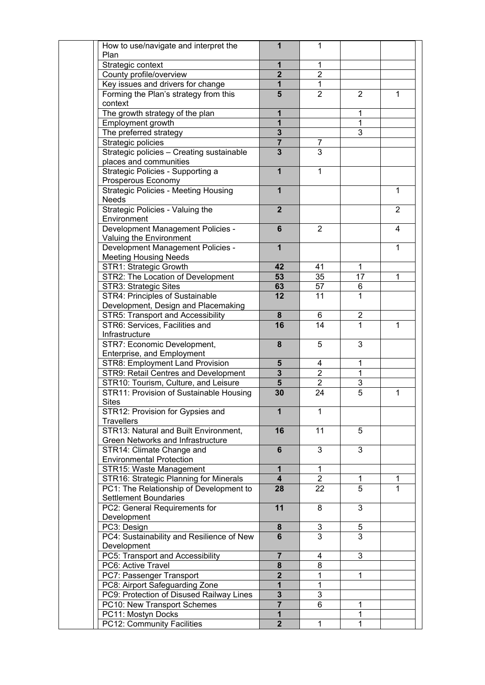| How to use/navigate and interpret the       | 1                       | 1              |                |              |
|---------------------------------------------|-------------------------|----------------|----------------|--------------|
| Plan                                        |                         |                |                |              |
| Strategic context                           | $\mathbf{1}$            | 1              |                |              |
| County profile/overview                     | $\overline{2}$          | $\overline{2}$ |                |              |
| Key issues and drivers for change           | $\mathbf{1}$            | 1              |                |              |
| Forming the Plan's strategy from this       | 5                       | $\overline{2}$ | $\overline{2}$ | 1            |
| context                                     |                         |                |                |              |
| The growth strategy of the plan             | $\mathbf{1}$            |                | 1              |              |
| Employment growth                           | $\overline{1}$          |                | $\overline{1}$ |              |
| The preferred strategy                      | $\mathbf{3}$            |                | 3              |              |
| Strategic policies                          | $\overline{7}$          | $\overline{7}$ |                |              |
| Strategic policies - Creating sustainable   | $\overline{\mathbf{3}}$ | $\overline{3}$ |                |              |
| places and communities                      |                         |                |                |              |
| Strategic Policies - Supporting a           | $\overline{1}$          | 1              |                |              |
| Prosperous Economy                          |                         |                |                |              |
| <b>Strategic Policies - Meeting Housing</b> | $\mathbf{1}$            |                |                | 1            |
| <b>Needs</b>                                |                         |                |                |              |
| Strategic Policies - Valuing the            | $\overline{2}$          |                |                | 2            |
| Environment                                 |                         |                |                |              |
| Development Management Policies -           | $6\phantom{1}$          | 2              |                | 4            |
| Valuing the Environment                     |                         |                |                |              |
| Development Management Policies -           | $\mathbf{1}$            |                |                | 1            |
| <b>Meeting Housing Needs</b>                |                         |                |                |              |
|                                             | 42                      | 41             | 1              |              |
| STR1: Strategic Growth                      |                         |                |                |              |
| STR2: The Location of Development           | 53                      | 35             | 17             | $\mathbf{1}$ |
| STR3: Strategic Sites                       | 63                      | 57             | 6              |              |
| STR4: Principles of Sustainable             | 12                      | 11             | $\mathbf{1}$   |              |
| Development, Design and Placemaking         |                         |                |                |              |
| STR5: Transport and Accessibility           | 8                       | 6              | $\overline{2}$ |              |
| STR6: Services, Facilities and              | 16                      | 14             | $\mathbf{1}$   | 1            |
| Infrastructure                              |                         |                |                |              |
| STR7: Economic Development,                 | 8                       | 5              | 3              |              |
| Enterprise, and Employment                  |                         |                |                |              |
| <b>STR8: Employment Land Provision</b>      | $5\phantom{1}$          | 4              | $\mathbf{1}$   |              |
| STR9: Retail Centres and Development        | $\overline{\mathbf{3}}$ | $\overline{2}$ | $\overline{1}$ |              |
| STR10: Tourism, Culture, and Leisure        | $\overline{5}$          | $\overline{2}$ | $\overline{3}$ |              |
| STR11: Provision of Sustainable Housing     | 30                      | 24             | $\overline{5}$ | 1            |
| <b>Sites</b>                                |                         |                |                |              |
| STR12: Provision for Gypsies and            | 1                       | 1              |                |              |
| <b>Travellers</b>                           |                         |                |                |              |
| STR13: Natural and Built Environment,       | 16                      | 11             | 5              |              |
| Green Networks and Infrastructure           |                         |                |                |              |
| STR14: Climate Change and                   | $6\phantom{1}$          | 3              | 3              |              |
| <b>Environmental Protection</b>             |                         |                |                |              |
| STR15: Waste Management                     | $\overline{1}$          | 1              |                |              |
| STR16: Strategic Planning for Minerals      | $\overline{\mathbf{4}}$ | $\overline{2}$ | 1              | 1            |
| PC1: The Relationship of Development to     | 28                      | 22             | 5              | 1            |
| <b>Settlement Boundaries</b>                |                         |                |                |              |
| PC2: General Requirements for               | 11                      | 8              | 3              |              |
| Development                                 |                         |                |                |              |
| PC3: Design                                 | 8                       | 3              | 5              |              |
| PC4: Sustainability and Resilience of New   | $6\phantom{1}$          | 3              | 3              |              |
|                                             |                         |                |                |              |
| Development                                 |                         |                |                |              |
| PC5: Transport and Accessibility            | $\overline{7}$          | 4              | 3              |              |
| PC6: Active Travel                          | 8                       | 8              |                |              |
| PC7: Passenger Transport                    | $\overline{2}$          | 1              | 1              |              |
| PC8: Airport Safeguarding Zone              | 1                       | 1              |                |              |
| PC9: Protection of Disused Railway Lines    | $\mathbf{3}$            | $\mathfrak{S}$ |                |              |
| PC10: New Transport Schemes                 | $\overline{7}$          | 6              | 1              |              |
| PC11: Mostyn Docks                          | $\mathbf{1}$            |                | 1              |              |
| PC12: Community Facilities                  | $\overline{2}$          | 1              | 1              |              |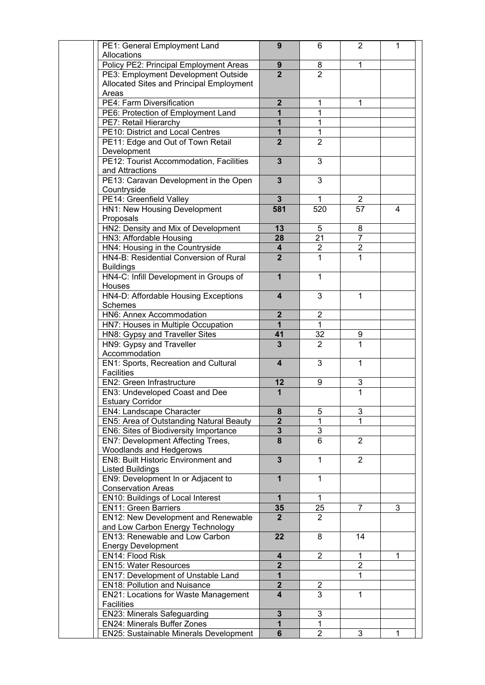| PE1: General Employment Land                                                     | 9                       | 6              | 2                       | $\mathbf 1$  |
|----------------------------------------------------------------------------------|-------------------------|----------------|-------------------------|--------------|
| Allocations                                                                      |                         |                |                         |              |
| Policy PE2: Principal Employment Areas                                           | 9                       | 8              | 1                       |              |
| PE3: Employment Development Outside                                              | $\overline{2}$          | $\overline{2}$ |                         |              |
| Allocated Sites and Principal Employment                                         |                         |                |                         |              |
| Areas                                                                            |                         |                |                         |              |
| PE4: Farm Diversification                                                        | $\overline{2}$          | 1              | 1                       |              |
| PE6: Protection of Employment Land                                               | $\overline{\mathbf{1}}$ | 1              |                         |              |
| PE7: Retail Hierarchy                                                            | 1                       | 1              |                         |              |
| PE10: District and Local Centres                                                 | $\overline{1}$          | 1              |                         |              |
| PE11: Edge and Out of Town Retail                                                | $\overline{2}$          | $\overline{2}$ |                         |              |
| Development                                                                      |                         |                |                         |              |
| PE12: Tourist Accommodation, Facilities                                          | $\overline{3}$          | 3              |                         |              |
| and Attractions                                                                  |                         |                |                         |              |
| PE13: Caravan Development in the Open                                            | $\overline{3}$          | 3              |                         |              |
| Countryside                                                                      |                         |                |                         |              |
| PE14: Greenfield Valley                                                          | $\mathbf{3}$            | 1              | 2                       |              |
| <b>HN1: New Housing Development</b>                                              | 581                     | 520            | 57                      | 4            |
| Proposals                                                                        |                         |                |                         |              |
| HN2: Density and Mix of Development                                              | 13                      | 5              | 8                       |              |
| HN3: Affordable Housing                                                          | 28                      | 21             | $\overline{7}$          |              |
| HN4: Housing in the Countryside                                                  | 4                       | $\overline{2}$ | $\overline{\mathbf{c}}$ |              |
| HN4-B: Residential Conversion of Rural                                           | $\overline{2}$          | 1              | 1                       |              |
| <b>Buildings</b>                                                                 |                         |                |                         |              |
| HN4-C: Infill Development in Groups of                                           | $\mathbf{1}$            | $\mathbf{1}$   |                         |              |
| Houses                                                                           |                         |                |                         |              |
| HN4-D: Affordable Housing Exceptions                                             | $\overline{\mathbf{4}}$ | 3              | $\mathbf{1}$            |              |
| <b>Schemes</b>                                                                   |                         |                |                         |              |
| HN6: Annex Accommodation                                                         | $\mathbf{2}$            | $\overline{2}$ |                         |              |
| HN7: Houses in Multiple Occupation                                               | $\mathbf{1}$            | $\mathbf 1$    |                         |              |
| HN8: Gypsy and Traveller Sites                                                   | 41                      | 32             | 9                       |              |
| HN9: Gypsy and Traveller                                                         | $\overline{3}$          | 2              | 1                       |              |
| Accommodation                                                                    |                         |                |                         |              |
| EN1: Sports, Recreation and Cultural                                             | $\overline{\mathbf{4}}$ | 3              | 1                       |              |
| <b>Facilities</b>                                                                |                         |                |                         |              |
| <b>EN2: Green Infrastructure</b>                                                 | 12                      | 9              | 3                       |              |
| EN3: Undeveloped Coast and Dee                                                   | $\mathbf{1}$            |                | 1                       |              |
| <b>Estuary Corridor</b>                                                          |                         |                |                         |              |
| <b>EN4: Landscape Character</b>                                                  | 8                       | 5              | 3                       |              |
|                                                                                  | $\overline{2}$          |                |                         |              |
| EN5: Area of Outstanding Natural Beauty<br>EN6: Sites of Biodiversity Importance | $\overline{3}$          | $\overline{3}$ |                         |              |
|                                                                                  | 8                       | $\overline{6}$ | $\overline{2}$          |              |
| EN7: Development Affecting Trees,                                                |                         |                |                         |              |
| Woodlands and Hedgerows                                                          |                         |                |                         |              |
| <b>EN8: Built Historic Environment and</b>                                       | $\overline{3}$          | $\mathbf{1}$   | $\overline{2}$          |              |
| <b>Listed Buildings</b>                                                          |                         |                |                         |              |
| EN9: Development In or Adjacent to                                               | $\overline{1}$          | $\mathbf{1}$   |                         |              |
| <b>Conservation Areas</b>                                                        |                         |                |                         |              |
| <b>EN10: Buildings of Local Interest</b>                                         | $\overline{1}$          | $\mathbf{1}$   |                         |              |
| <b>EN11: Green Barriers</b>                                                      | 35                      | 25             | 7                       | 3            |
| EN12: New Development and Renewable                                              | $\overline{2}$          | $\overline{2}$ |                         |              |
| and Low Carbon Energy Technology                                                 |                         |                |                         |              |
| EN13: Renewable and Low Carbon                                                   | 22                      | 8              | 14                      |              |
| <b>Energy Development</b>                                                        |                         |                |                         |              |
| EN14: Flood Risk                                                                 | 4                       | $\overline{2}$ | $\mathbf{1}$            | $\mathbf{1}$ |
| <b>EN15: Water Resources</b>                                                     | $\overline{2}$          |                | $\overline{2}$          |              |
| EN17: Development of Unstable Land                                               | $\overline{1}$          |                | 1                       |              |
| <b>EN18: Pollution and Nuisance</b>                                              | $\overline{2}$          | $\overline{2}$ |                         |              |
| EN21: Locations for Waste Management                                             | $\overline{\mathbf{4}}$ | 3              | 1                       |              |
| <b>Facilities</b>                                                                |                         |                |                         |              |
| <b>EN23: Minerals Safeguarding</b>                                               | $\mathbf{3}$            | 3              |                         |              |
| <b>EN24: Minerals Buffer Zones</b>                                               | $\mathbf{1}$            | 1              |                         |              |
| EN25: Sustainable Minerals Development                                           | $6\phantom{a}$          | $\overline{2}$ | 3                       | 1            |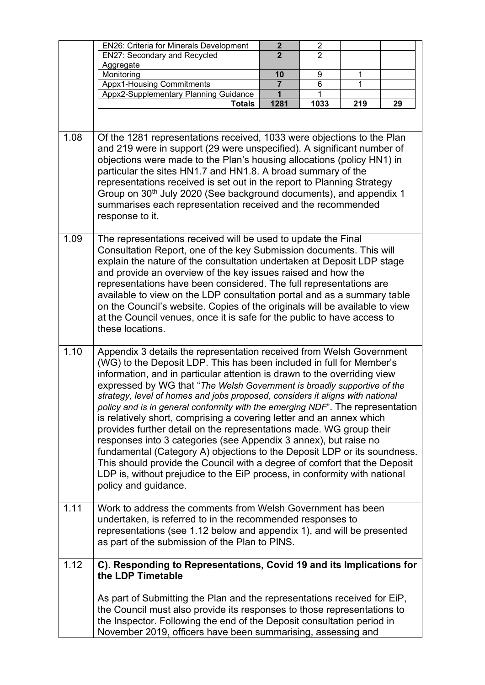|      | EN26: Criteria for Minerals Development                                                                                                                                                                                                                                                                                                                                                                                                                                                                                                                                                                                                                                                                                                                                                                                                                                                                                                                 | $\mathbf{2}$   | $\overline{c}$ |     |    |
|------|---------------------------------------------------------------------------------------------------------------------------------------------------------------------------------------------------------------------------------------------------------------------------------------------------------------------------------------------------------------------------------------------------------------------------------------------------------------------------------------------------------------------------------------------------------------------------------------------------------------------------------------------------------------------------------------------------------------------------------------------------------------------------------------------------------------------------------------------------------------------------------------------------------------------------------------------------------|----------------|----------------|-----|----|
|      | <b>EN27: Secondary and Recycled</b>                                                                                                                                                                                                                                                                                                                                                                                                                                                                                                                                                                                                                                                                                                                                                                                                                                                                                                                     | $\overline{2}$ | 2              |     |    |
|      | Aggregate                                                                                                                                                                                                                                                                                                                                                                                                                                                                                                                                                                                                                                                                                                                                                                                                                                                                                                                                               |                |                |     |    |
|      | Monitoring                                                                                                                                                                                                                                                                                                                                                                                                                                                                                                                                                                                                                                                                                                                                                                                                                                                                                                                                              | 10             | 9              | 1   |    |
|      | <b>Appx1-Housing Commitments</b>                                                                                                                                                                                                                                                                                                                                                                                                                                                                                                                                                                                                                                                                                                                                                                                                                                                                                                                        | 7              | 6              | 1   |    |
|      | Appx2-Supplementary Planning Guidance                                                                                                                                                                                                                                                                                                                                                                                                                                                                                                                                                                                                                                                                                                                                                                                                                                                                                                                   | 1              |                |     |    |
|      | <b>Totals</b>                                                                                                                                                                                                                                                                                                                                                                                                                                                                                                                                                                                                                                                                                                                                                                                                                                                                                                                                           | 1281           | 1033           | 219 | 29 |
|      |                                                                                                                                                                                                                                                                                                                                                                                                                                                                                                                                                                                                                                                                                                                                                                                                                                                                                                                                                         |                |                |     |    |
| 1.08 | Of the 1281 representations received, 1033 were objections to the Plan<br>and 219 were in support (29 were unspecified). A significant number of<br>objections were made to the Plan's housing allocations (policy HN1) in<br>particular the sites HN1.7 and HN1.8. A broad summary of the<br>representations received is set out in the report to Planning Strategy<br>Group on 30 <sup>th</sup> July 2020 (See background documents), and appendix 1<br>summarises each representation received and the recommended<br>response to it.                                                                                                                                                                                                                                                                                                                                                                                                                |                |                |     |    |
| 1.09 | The representations received will be used to update the Final<br>Consultation Report, one of the key Submission documents. This will<br>explain the nature of the consultation undertaken at Deposit LDP stage<br>and provide an overview of the key issues raised and how the<br>representations have been considered. The full representations are<br>available to view on the LDP consultation portal and as a summary table<br>on the Council's website. Copies of the originals will be available to view<br>at the Council venues, once it is safe for the public to have access to<br>these locations.                                                                                                                                                                                                                                                                                                                                           |                |                |     |    |
| 1.10 | Appendix 3 details the representation received from Welsh Government<br>(WG) to the Deposit LDP. This has been included in full for Member's<br>information, and in particular attention is drawn to the overriding view<br>expressed by WG that "The Welsh Government is broadly supportive of the<br>strategy, level of homes and jobs proposed, considers it aligns with national<br>policy and is in general conformity with the emerging NDF". The representation<br>is relatively short, comprising a covering letter and an annex which<br>provides further detail on the representations made. WG group their<br>responses into 3 categories (see Appendix 3 annex), but raise no<br>fundamental (Category A) objections to the Deposit LDP or its soundness.<br>This should provide the Council with a degree of comfort that the Deposit<br>LDP is, without prejudice to the EiP process, in conformity with national<br>policy and guidance. |                |                |     |    |
| 1.11 | Work to address the comments from Welsh Government has been<br>undertaken, is referred to in the recommended responses to<br>representations (see 1.12 below and appendix 1), and will be presented<br>as part of the submission of the Plan to PINS.                                                                                                                                                                                                                                                                                                                                                                                                                                                                                                                                                                                                                                                                                                   |                |                |     |    |
| 1.12 | C). Responding to Representations, Covid 19 and its Implications for<br>the LDP Timetable                                                                                                                                                                                                                                                                                                                                                                                                                                                                                                                                                                                                                                                                                                                                                                                                                                                               |                |                |     |    |
|      | As part of Submitting the Plan and the representations received for EiP,<br>the Council must also provide its responses to those representations to<br>the Inspector. Following the end of the Deposit consultation period in<br>November 2019, officers have been summarising, assessing and                                                                                                                                                                                                                                                                                                                                                                                                                                                                                                                                                                                                                                                           |                |                |     |    |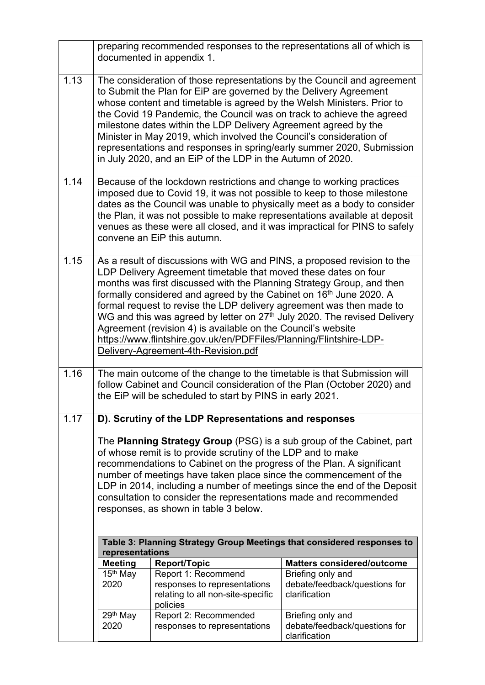|      |                              | documented in appendix 1.                                                                                                                                                                                                                                                                                                                                                                                                                                                       | preparing recommended responses to the representations all of which is                                                                                                                                                               |
|------|------------------------------|---------------------------------------------------------------------------------------------------------------------------------------------------------------------------------------------------------------------------------------------------------------------------------------------------------------------------------------------------------------------------------------------------------------------------------------------------------------------------------|--------------------------------------------------------------------------------------------------------------------------------------------------------------------------------------------------------------------------------------|
| 1.13 |                              | to Submit the Plan for EiP are governed by the Delivery Agreement<br>whose content and timetable is agreed by the Welsh Ministers. Prior to<br>the Covid 19 Pandemic, the Council was on track to achieve the agreed<br>milestone dates within the LDP Delivery Agreement agreed by the<br>Minister in May 2019, which involved the Council's consideration of<br>in July 2020, and an EiP of the LDP in the Autumn of 2020.                                                    | The consideration of those representations by the Council and agreement<br>representations and responses in spring/early summer 2020, Submission                                                                                     |
| 1.14 |                              | Because of the lockdown restrictions and change to working practices<br>imposed due to Covid 19, it was not possible to keep to those milestone<br>convene an EiP this autumn.                                                                                                                                                                                                                                                                                                  | dates as the Council was unable to physically meet as a body to consider<br>the Plan, it was not possible to make representations available at deposit<br>venues as these were all closed, and it was impractical for PINS to safely |
| 1.15 |                              | LDP Delivery Agreement timetable that moved these dates on four<br>months was first discussed with the Planning Strategy Group, and then<br>formally considered and agreed by the Cabinet on 16 <sup>th</sup> June 2020. A<br>formal request to revise the LDP delivery agreement was then made to<br>Agreement (revision 4) is available on the Council's website<br>https://www.flintshire.gov.uk/en/PDFFiles/Planning/Flintshire-LDP-<br>Delivery-Agreement-4th-Revision.pdf | As a result of discussions with WG and PINS, a proposed revision to the<br>WG and this was agreed by letter on 27th July 2020. The revised Delivery                                                                                  |
| 1.16 |                              | The main outcome of the change to the timetable is that Submission will<br>the EiP will be scheduled to start by PINS in early 2021.                                                                                                                                                                                                                                                                                                                                            | follow Cabinet and Council consideration of the Plan (October 2020) and                                                                                                                                                              |
| 1.17 |                              | D). Scrutiny of the LDP Representations and responses                                                                                                                                                                                                                                                                                                                                                                                                                           |                                                                                                                                                                                                                                      |
|      |                              | of whose remit is to provide scrutiny of the LDP and to make<br>recommendations to Cabinet on the progress of the Plan. A significant<br>number of meetings have taken place since the commencement of the<br>consultation to consider the representations made and recommended<br>responses, as shown in table 3 below.                                                                                                                                                        | The <b>Planning Strategy Group</b> (PSG) is a sub group of the Cabinet, part<br>LDP in 2014, including a number of meetings since the end of the Deposit                                                                             |
|      | representations              |                                                                                                                                                                                                                                                                                                                                                                                                                                                                                 | Table 3: Planning Strategy Group Meetings that considered responses to                                                                                                                                                               |
|      | <b>Meeting</b>               | <b>Report/Topic</b>                                                                                                                                                                                                                                                                                                                                                                                                                                                             | <b>Matters considered/outcome</b>                                                                                                                                                                                                    |
|      | 15 <sup>th</sup> May<br>2020 | Report 1: Recommend<br>responses to representations<br>relating to all non-site-specific<br>policies                                                                                                                                                                                                                                                                                                                                                                            | Briefing only and<br>debate/feedback/questions for<br>clarification                                                                                                                                                                  |
|      | 29th May<br>2020             | Report 2: Recommended<br>responses to representations                                                                                                                                                                                                                                                                                                                                                                                                                           | Briefing only and<br>debate/feedback/questions for<br>clarification                                                                                                                                                                  |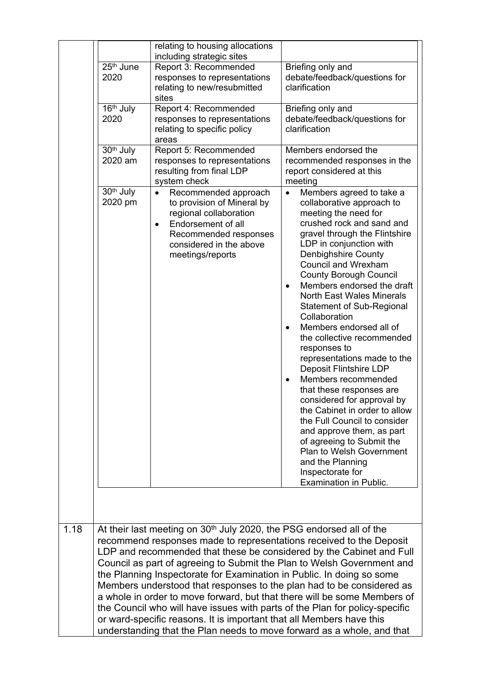|      |                                  | relating to housing allocations<br>including strategic sites                                                                                                                                                                                                                                                                                                                                                                                                      |                                                                                                                                                                                                                                                                                                                                                                                                                                                                                                                                                                                                                                                                                                                                                                                                                                                                                                                 |
|------|----------------------------------|-------------------------------------------------------------------------------------------------------------------------------------------------------------------------------------------------------------------------------------------------------------------------------------------------------------------------------------------------------------------------------------------------------------------------------------------------------------------|-----------------------------------------------------------------------------------------------------------------------------------------------------------------------------------------------------------------------------------------------------------------------------------------------------------------------------------------------------------------------------------------------------------------------------------------------------------------------------------------------------------------------------------------------------------------------------------------------------------------------------------------------------------------------------------------------------------------------------------------------------------------------------------------------------------------------------------------------------------------------------------------------------------------|
|      | 25 <sup>th</sup> June<br>2020    | Report 3: Recommended<br>responses to representations<br>relating to new/resubmitted<br>sites                                                                                                                                                                                                                                                                                                                                                                     | Briefing only and<br>debate/feedback/questions for<br>clarification                                                                                                                                                                                                                                                                                                                                                                                                                                                                                                                                                                                                                                                                                                                                                                                                                                             |
|      | 16 <sup>th</sup> July<br>2020    | Report 4: Recommended<br>responses to representations<br>relating to specific policy<br>areas                                                                                                                                                                                                                                                                                                                                                                     | Briefing only and<br>debate/feedback/questions for<br>clarification                                                                                                                                                                                                                                                                                                                                                                                                                                                                                                                                                                                                                                                                                                                                                                                                                                             |
|      | 30 <sup>th</sup> July<br>2020 am | Report 5: Recommended<br>responses to representations<br>resulting from final LDP<br>system check                                                                                                                                                                                                                                                                                                                                                                 | Members endorsed the<br>recommended responses in the<br>report considered at this<br>meeting                                                                                                                                                                                                                                                                                                                                                                                                                                                                                                                                                                                                                                                                                                                                                                                                                    |
|      | 30 <sup>th</sup> July<br>2020 pm | Recommended approach<br>$\bullet$<br>to provision of Mineral by<br>regional collaboration<br>Endorsement of all<br>$\bullet$<br>Recommended responses<br>considered in the above<br>meetings/reports                                                                                                                                                                                                                                                              | Members agreed to take a<br>$\bullet$<br>collaborative approach to<br>meeting the need for<br>crushed rock and sand and<br>gravel through the Flintshire<br>LDP in conjunction with<br><b>Denbighshire County</b><br><b>Council and Wrexham</b><br><b>County Borough Council</b><br>Members endorsed the draft<br>$\bullet$<br><b>North East Wales Minerals</b><br><b>Statement of Sub-Regional</b><br>Collaboration<br>Members endorsed all of<br>$\bullet$<br>the collective recommended<br>responses to<br>representations made to the<br><b>Deposit Flintshire LDP</b><br>Members recommended<br>$\bullet$<br>that these responses are<br>considered for approval by<br>the Cabinet in order to allow<br>the Full Council to consider<br>and approve them, as part<br>of agreeing to Submit the<br><b>Plan to Welsh Government</b><br>and the Planning<br>Inspectorate for<br><b>Examination in Public.</b> |
|      |                                  |                                                                                                                                                                                                                                                                                                                                                                                                                                                                   |                                                                                                                                                                                                                                                                                                                                                                                                                                                                                                                                                                                                                                                                                                                                                                                                                                                                                                                 |
| 1.18 |                                  | At their last meeting on 30 <sup>th</sup> July 2020, the PSG endorsed all of the<br>recommend responses made to representations received to the Deposit<br>the Planning Inspectorate for Examination in Public. In doing so some<br>the Council who will have issues with parts of the Plan for policy-specific<br>or ward-specific reasons. It is important that all Members have this<br>understanding that the Plan needs to move forward as a whole, and that | LDP and recommended that these be considered by the Cabinet and Full<br>Council as part of agreeing to Submit the Plan to Welsh Government and<br>Members understood that responses to the plan had to be considered as<br>a whole in order to move forward, but that there will be some Members of                                                                                                                                                                                                                                                                                                                                                                                                                                                                                                                                                                                                             |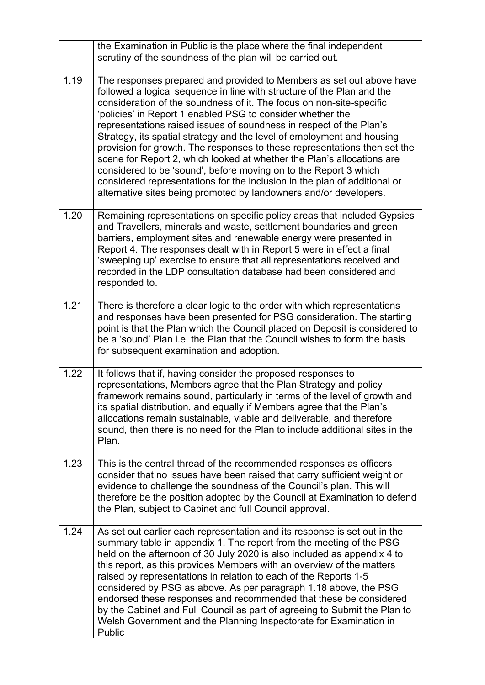|      | the Examination in Public is the place where the final independent<br>scrutiny of the soundness of the plan will be carried out.                                                                                                                                                                                                                                                                                                                                                                                                                                                                                                                                                                                                                                                                                   |
|------|--------------------------------------------------------------------------------------------------------------------------------------------------------------------------------------------------------------------------------------------------------------------------------------------------------------------------------------------------------------------------------------------------------------------------------------------------------------------------------------------------------------------------------------------------------------------------------------------------------------------------------------------------------------------------------------------------------------------------------------------------------------------------------------------------------------------|
| 1.19 | The responses prepared and provided to Members as set out above have<br>followed a logical sequence in line with structure of the Plan and the<br>consideration of the soundness of it. The focus on non-site-specific<br>'policies' in Report 1 enabled PSG to consider whether the<br>representations raised issues of soundness in respect of the Plan's<br>Strategy, its spatial strategy and the level of employment and housing<br>provision for growth. The responses to these representations then set the<br>scene for Report 2, which looked at whether the Plan's allocations are<br>considered to be 'sound', before moving on to the Report 3 which<br>considered representations for the inclusion in the plan of additional or<br>alternative sites being promoted by landowners and/or developers. |
| 1.20 | Remaining representations on specific policy areas that included Gypsies<br>and Travellers, minerals and waste, settlement boundaries and green<br>barriers, employment sites and renewable energy were presented in<br>Report 4. The responses dealt with in Report 5 were in effect a final<br>'sweeping up' exercise to ensure that all representations received and<br>recorded in the LDP consultation database had been considered and<br>responded to.                                                                                                                                                                                                                                                                                                                                                      |
| 1.21 | There is therefore a clear logic to the order with which representations<br>and responses have been presented for PSG consideration. The starting<br>point is that the Plan which the Council placed on Deposit is considered to<br>be a 'sound' Plan i.e. the Plan that the Council wishes to form the basis<br>for subsequent examination and adoption.                                                                                                                                                                                                                                                                                                                                                                                                                                                          |
| 1.22 | It follows that if, having consider the proposed responses to<br>representations, Members agree that the Plan Strategy and policy<br>framework remains sound, particularly in terms of the level of growth and<br>its spatial distribution, and equally if Members agree that the Plan's<br>allocations remain sustainable, viable and deliverable, and therefore<br>sound, then there is no need for the Plan to include additional sites in the<br>Plan.                                                                                                                                                                                                                                                                                                                                                         |
| 1.23 | This is the central thread of the recommended responses as officers<br>consider that no issues have been raised that carry sufficient weight or<br>evidence to challenge the soundness of the Council's plan. This will<br>therefore be the position adopted by the Council at Examination to defend<br>the Plan, subject to Cabinet and full Council approval.                                                                                                                                                                                                                                                                                                                                                                                                                                                    |
| 1.24 | As set out earlier each representation and its response is set out in the<br>summary table in appendix 1. The report from the meeting of the PSG<br>held on the afternoon of 30 July 2020 is also included as appendix 4 to<br>this report, as this provides Members with an overview of the matters<br>raised by representations in relation to each of the Reports 1-5<br>considered by PSG as above. As per paragraph 1.18 above, the PSG<br>endorsed these responses and recommended that these be considered<br>by the Cabinet and Full Council as part of agreeing to Submit the Plan to<br>Welsh Government and the Planning Inspectorate for Examination in<br>Public                                                                                                                                      |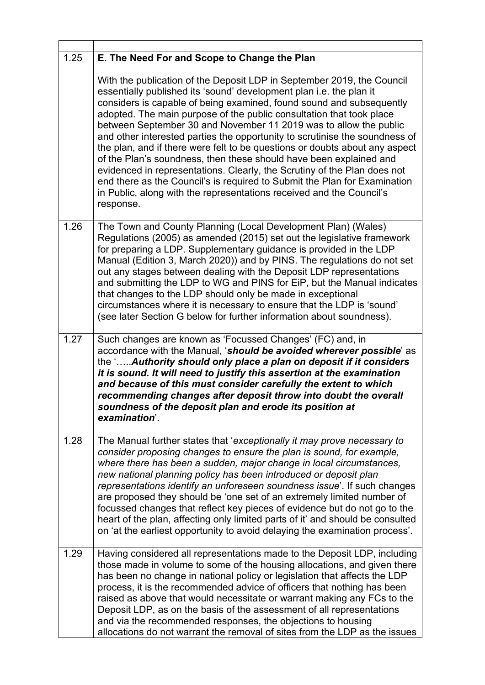| 1.25 | E. The Need For and Scope to Change the Plan                                                                                                                                                                                                                                                                                                                                                                                                                                                                                                                                                                                                                                                                                                                                                                                                         |
|------|------------------------------------------------------------------------------------------------------------------------------------------------------------------------------------------------------------------------------------------------------------------------------------------------------------------------------------------------------------------------------------------------------------------------------------------------------------------------------------------------------------------------------------------------------------------------------------------------------------------------------------------------------------------------------------------------------------------------------------------------------------------------------------------------------------------------------------------------------|
|      | With the publication of the Deposit LDP in September 2019, the Council<br>essentially published its 'sound' development plan i.e. the plan it<br>considers is capable of being examined, found sound and subsequently<br>adopted. The main purpose of the public consultation that took place<br>between September 30 and November 11 2019 was to allow the public<br>and other interested parties the opportunity to scrutinise the soundness of<br>the plan, and if there were felt to be questions or doubts about any aspect<br>of the Plan's soundness, then these should have been explained and<br>evidenced in representations. Clearly, the Scrutiny of the Plan does not<br>end there as the Council's is required to Submit the Plan for Examination<br>in Public, along with the representations received and the Council's<br>response. |
| 1.26 | The Town and County Planning (Local Development Plan) (Wales)<br>Regulations (2005) as amended (2015) set out the legislative framework<br>for preparing a LDP. Supplementary guidance is provided in the LDP<br>Manual (Edition 3, March 2020)) and by PINS. The regulations do not set<br>out any stages between dealing with the Deposit LDP representations<br>and submitting the LDP to WG and PINS for EiP, but the Manual indicates<br>that changes to the LDP should only be made in exceptional<br>circumstances where it is necessary to ensure that the LDP is 'sound'<br>(see later Section G below for further information about soundness).                                                                                                                                                                                            |
| 1.27 | Such changes are known as 'Focussed Changes' (FC) and, in<br>accordance with the Manual, 'should be avoided wherever possible' as<br>the ' Authority should only place a plan on deposit if it considers<br>it is sound. It will need to justify this assertion at the examination<br>and because of this must consider carefully the extent to which<br>recommending changes after deposit throw into doubt the overall<br>soundness of the deposit plan and erode its position at<br>examination'.                                                                                                                                                                                                                                                                                                                                                 |
| 1.28 | The Manual further states that 'exceptionally it may prove necessary to<br>consider proposing changes to ensure the plan is sound, for example,<br>where there has been a sudden, major change in local circumstances,<br>new national planning policy has been introduced or deposit plan<br>representations identify an unforeseen soundness issue'. If such changes<br>are proposed they should be 'one set of an extremely limited number of<br>focussed changes that reflect key pieces of evidence but do not go to the<br>heart of the plan, affecting only limited parts of it' and should be consulted<br>on 'at the earliest opportunity to avoid delaying the examination process'.                                                                                                                                                       |
| 1.29 | Having considered all representations made to the Deposit LDP, including<br>those made in volume to some of the housing allocations, and given there<br>has been no change in national policy or legislation that affects the LDP<br>process, it is the recommended advice of officers that nothing has been<br>raised as above that would necessitate or warrant making any FCs to the<br>Deposit LDP, as on the basis of the assessment of all representations<br>and via the recommended responses, the objections to housing<br>allocations do not warrant the removal of sites from the LDP as the issues                                                                                                                                                                                                                                       |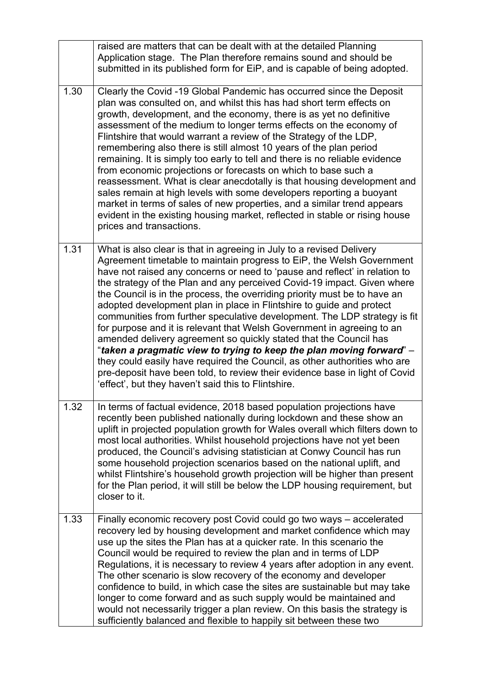|      | raised are matters that can be dealt with at the detailed Planning<br>Application stage. The Plan therefore remains sound and should be<br>submitted in its published form for EiP, and is capable of being adopted.                                                                                                                                                                                                                                                                                                                                                                                                                                                                                                                                                                                                                                                                                                                                                               |
|------|------------------------------------------------------------------------------------------------------------------------------------------------------------------------------------------------------------------------------------------------------------------------------------------------------------------------------------------------------------------------------------------------------------------------------------------------------------------------------------------------------------------------------------------------------------------------------------------------------------------------------------------------------------------------------------------------------------------------------------------------------------------------------------------------------------------------------------------------------------------------------------------------------------------------------------------------------------------------------------|
| 1.30 | Clearly the Covid -19 Global Pandemic has occurred since the Deposit<br>plan was consulted on, and whilst this has had short term effects on<br>growth, development, and the economy, there is as yet no definitive<br>assessment of the medium to longer terms effects on the economy of<br>Flintshire that would warrant a review of the Strategy of the LDP,<br>remembering also there is still almost 10 years of the plan period<br>remaining. It is simply too early to tell and there is no reliable evidence<br>from economic projections or forecasts on which to base such a<br>reassessment. What is clear anecdotally is that housing development and<br>sales remain at high levels with some developers reporting a buoyant<br>market in terms of sales of new properties, and a similar trend appears<br>evident in the existing housing market, reflected in stable or rising house<br>prices and transactions.                                                    |
| 1.31 | What is also clear is that in agreeing in July to a revised Delivery<br>Agreement timetable to maintain progress to EiP, the Welsh Government<br>have not raised any concerns or need to 'pause and reflect' in relation to<br>the strategy of the Plan and any perceived Covid-19 impact. Given where<br>the Council is in the process, the overriding priority must be to have an<br>adopted development plan in place in Flintshire to guide and protect<br>communities from further speculative development. The LDP strategy is fit<br>for purpose and it is relevant that Welsh Government in agreeing to an<br>amended delivery agreement so quickly stated that the Council has<br>"taken a pragmatic view to trying to keep the plan moving forward" –<br>they could easily have required the Council, as other authorities who are<br>pre-deposit have been told, to review their evidence base in light of Covid<br>'effect', but they haven't said this to Flintshire. |
| 1.32 | In terms of factual evidence, 2018 based population projections have<br>recently been published nationally during lockdown and these show an<br>uplift in projected population growth for Wales overall which filters down to<br>most local authorities. Whilst household projections have not yet been<br>produced, the Council's advising statistician at Conwy Council has run<br>some household projection scenarios based on the national uplift, and<br>whilst Flintshire's household growth projection will be higher than present<br>for the Plan period, it will still be below the LDP housing requirement, but<br>closer to it.                                                                                                                                                                                                                                                                                                                                         |
| 1.33 | Finally economic recovery post Covid could go two ways - accelerated<br>recovery led by housing development and market confidence which may<br>use up the sites the Plan has at a quicker rate. In this scenario the<br>Council would be required to review the plan and in terms of LDP<br>Regulations, it is necessary to review 4 years after adoption in any event.<br>The other scenario is slow recovery of the economy and developer<br>confidence to build, in which case the sites are sustainable but may take<br>longer to come forward and as such supply would be maintained and<br>would not necessarily trigger a plan review. On this basis the strategy is<br>sufficiently balanced and flexible to happily sit between these two                                                                                                                                                                                                                                 |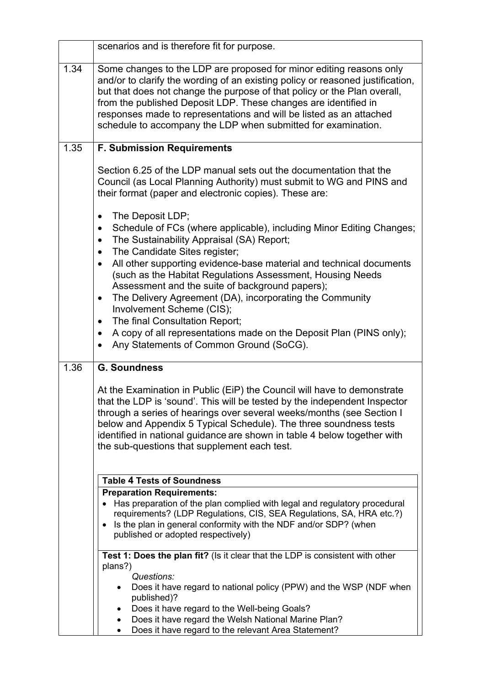|      | scenarios and is therefore fit for purpose.                                                                                                                                                                                                                                                                                                                                                                                                  |
|------|----------------------------------------------------------------------------------------------------------------------------------------------------------------------------------------------------------------------------------------------------------------------------------------------------------------------------------------------------------------------------------------------------------------------------------------------|
| 1.34 | Some changes to the LDP are proposed for minor editing reasons only<br>and/or to clarify the wording of an existing policy or reasoned justification,<br>but that does not change the purpose of that policy or the Plan overall,<br>from the published Deposit LDP. These changes are identified in<br>responses made to representations and will be listed as an attached<br>schedule to accompany the LDP when submitted for examination. |
| 1.35 | <b>F. Submission Requirements</b>                                                                                                                                                                                                                                                                                                                                                                                                            |
|      | Section 6.25 of the LDP manual sets out the documentation that the<br>Council (as Local Planning Authority) must submit to WG and PINS and<br>their format (paper and electronic copies). These are:                                                                                                                                                                                                                                         |
|      | The Deposit LDP;<br>$\bullet$<br>Schedule of FCs (where applicable), including Minor Editing Changes;<br>$\bullet$<br>The Sustainability Appraisal (SA) Report;<br>$\bullet$<br>The Candidate Sites register;<br>$\bullet$                                                                                                                                                                                                                   |
|      | All other supporting evidence-base material and technical documents<br>$\bullet$<br>(such as the Habitat Regulations Assessment, Housing Needs<br>Assessment and the suite of background papers);                                                                                                                                                                                                                                            |
|      | The Delivery Agreement (DA), incorporating the Community<br>$\bullet$<br>Involvement Scheme (CIS);                                                                                                                                                                                                                                                                                                                                           |
|      | The final Consultation Report;<br>$\bullet$                                                                                                                                                                                                                                                                                                                                                                                                  |
|      | A copy of all representations made on the Deposit Plan (PINS only);<br>٠<br>Any Statements of Common Ground (SoCG).                                                                                                                                                                                                                                                                                                                          |
| 1.36 | <b>G. Soundness</b>                                                                                                                                                                                                                                                                                                                                                                                                                          |
|      | At the Examination in Public (EiP) the Council will have to demonstrate<br>that the LDP is 'sound'. This will be tested by the independent Inspector<br>through a series of hearings over several weeks/months (see Section I<br>below and Appendix 5 Typical Schedule). The three soundness tests<br>identified in national guidance are shown in table 4 below together with<br>the sub-questions that supplement each test.               |
|      | <b>Table 4 Tests of Soundness</b>                                                                                                                                                                                                                                                                                                                                                                                                            |
|      | <b>Preparation Requirements:</b>                                                                                                                                                                                                                                                                                                                                                                                                             |
|      | Has preparation of the plan complied with legal and regulatory procedural<br>requirements? (LDP Regulations, CIS, SEA Regulations, SA, HRA etc.?)<br>• Is the plan in general conformity with the NDF and/or SDP? (when<br>published or adopted respectively)                                                                                                                                                                                |
|      | Test 1: Does the plan fit? (Is it clear that the LDP is consistent with other<br>plans?)                                                                                                                                                                                                                                                                                                                                                     |
|      | Questions:<br>Does it have regard to national policy (PPW) and the WSP (NDF when<br>published)?                                                                                                                                                                                                                                                                                                                                              |
|      | Does it have regard to the Well-being Goals?                                                                                                                                                                                                                                                                                                                                                                                                 |
|      | Does it have regard the Welsh National Marine Plan?<br>Does it have regard to the relevant Area Statement?                                                                                                                                                                                                                                                                                                                                   |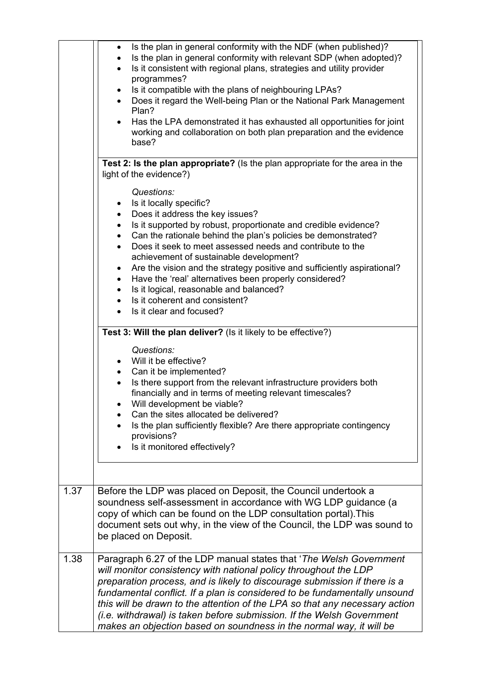|      | Is the plan in general conformity with the NDF (when published)?<br>$\bullet$<br>Is the plan in general conformity with relevant SDP (when adopted)?<br>Is it consistent with regional plans, strategies and utility provider<br>$\bullet$<br>programmes?<br>Is it compatible with the plans of neighbouring LPAs?<br>$\bullet$<br>Does it regard the Well-being Plan or the National Park Management<br>Plan?<br>Has the LPA demonstrated it has exhausted all opportunities for joint<br>$\bullet$<br>working and collaboration on both plan preparation and the evidence<br>base? |
|------|--------------------------------------------------------------------------------------------------------------------------------------------------------------------------------------------------------------------------------------------------------------------------------------------------------------------------------------------------------------------------------------------------------------------------------------------------------------------------------------------------------------------------------------------------------------------------------------|
|      | Test 2: Is the plan appropriate? (Is the plan appropriate for the area in the                                                                                                                                                                                                                                                                                                                                                                                                                                                                                                        |
|      | light of the evidence?)                                                                                                                                                                                                                                                                                                                                                                                                                                                                                                                                                              |
|      |                                                                                                                                                                                                                                                                                                                                                                                                                                                                                                                                                                                      |
|      | Questions:<br>Is it locally specific?                                                                                                                                                                                                                                                                                                                                                                                                                                                                                                                                                |
|      | $\bullet$<br>Does it address the key issues?<br>$\bullet$                                                                                                                                                                                                                                                                                                                                                                                                                                                                                                                            |
|      | Is it supported by robust, proportionate and credible evidence?<br>$\bullet$                                                                                                                                                                                                                                                                                                                                                                                                                                                                                                         |
|      | Can the rationale behind the plan's policies be demonstrated?<br>$\bullet$                                                                                                                                                                                                                                                                                                                                                                                                                                                                                                           |
|      | Does it seek to meet assessed needs and contribute to the                                                                                                                                                                                                                                                                                                                                                                                                                                                                                                                            |
|      | achievement of sustainable development?                                                                                                                                                                                                                                                                                                                                                                                                                                                                                                                                              |
|      | Are the vision and the strategy positive and sufficiently aspirational?<br>٠<br>Have the 'real' alternatives been properly considered?<br>$\bullet$                                                                                                                                                                                                                                                                                                                                                                                                                                  |
|      | Is it logical, reasonable and balanced?<br>$\bullet$                                                                                                                                                                                                                                                                                                                                                                                                                                                                                                                                 |
|      | Is it coherent and consistent?                                                                                                                                                                                                                                                                                                                                                                                                                                                                                                                                                       |
|      | Is it clear and focused?<br>$\bullet$                                                                                                                                                                                                                                                                                                                                                                                                                                                                                                                                                |
|      |                                                                                                                                                                                                                                                                                                                                                                                                                                                                                                                                                                                      |
|      | Test 3: Will the plan deliver? (Is it likely to be effective?)                                                                                                                                                                                                                                                                                                                                                                                                                                                                                                                       |
|      | Questions:                                                                                                                                                                                                                                                                                                                                                                                                                                                                                                                                                                           |
|      | Will it be effective?<br>$\bullet$                                                                                                                                                                                                                                                                                                                                                                                                                                                                                                                                                   |
|      | Can it be implemented?<br>$\bullet$<br>Is there support from the relevant infrastructure providers both<br>$\bullet$                                                                                                                                                                                                                                                                                                                                                                                                                                                                 |
|      | financially and in terms of meeting relevant timescales?                                                                                                                                                                                                                                                                                                                                                                                                                                                                                                                             |
|      | Will development be viable?                                                                                                                                                                                                                                                                                                                                                                                                                                                                                                                                                          |
|      | Can the sites allocated be delivered?                                                                                                                                                                                                                                                                                                                                                                                                                                                                                                                                                |
|      | Is the plan sufficiently flexible? Are there appropriate contingency                                                                                                                                                                                                                                                                                                                                                                                                                                                                                                                 |
|      | provisions?                                                                                                                                                                                                                                                                                                                                                                                                                                                                                                                                                                          |
|      | Is it monitored effectively?                                                                                                                                                                                                                                                                                                                                                                                                                                                                                                                                                         |
|      |                                                                                                                                                                                                                                                                                                                                                                                                                                                                                                                                                                                      |
| 1.37 | Before the LDP was placed on Deposit, the Council undertook a                                                                                                                                                                                                                                                                                                                                                                                                                                                                                                                        |
|      | soundness self-assessment in accordance with WG LDP guidance (a                                                                                                                                                                                                                                                                                                                                                                                                                                                                                                                      |
|      | copy of which can be found on the LDP consultation portal). This                                                                                                                                                                                                                                                                                                                                                                                                                                                                                                                     |
|      | document sets out why, in the view of the Council, the LDP was sound to                                                                                                                                                                                                                                                                                                                                                                                                                                                                                                              |
|      | be placed on Deposit.                                                                                                                                                                                                                                                                                                                                                                                                                                                                                                                                                                |
| 1.38 | Paragraph 6.27 of the LDP manual states that 'The Welsh Government'                                                                                                                                                                                                                                                                                                                                                                                                                                                                                                                  |
|      | will monitor consistency with national policy throughout the LDP                                                                                                                                                                                                                                                                                                                                                                                                                                                                                                                     |
|      | preparation process, and is likely to discourage submission if there is a                                                                                                                                                                                                                                                                                                                                                                                                                                                                                                            |
|      | fundamental conflict. If a plan is considered to be fundamentally unsound                                                                                                                                                                                                                                                                                                                                                                                                                                                                                                            |
|      | this will be drawn to the attention of the LPA so that any necessary action                                                                                                                                                                                                                                                                                                                                                                                                                                                                                                          |
|      | (i.e. withdrawal) is taken before submission. If the Welsh Government<br>makes an objection based on soundness in the normal way, it will be                                                                                                                                                                                                                                                                                                                                                                                                                                         |
|      |                                                                                                                                                                                                                                                                                                                                                                                                                                                                                                                                                                                      |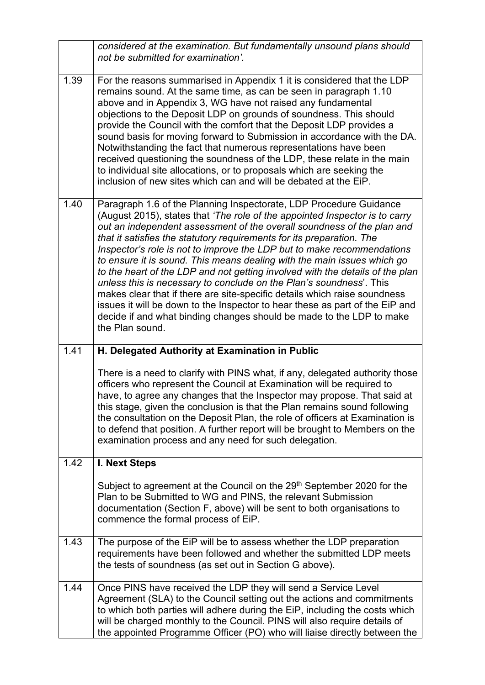|      | considered at the examination. But fundamentally unsound plans should<br>not be submitted for examination'.                                                                                                                                                                                                                                                                                                                                                                                                                                                                                                                                                                                                                                                                                                                                                               |
|------|---------------------------------------------------------------------------------------------------------------------------------------------------------------------------------------------------------------------------------------------------------------------------------------------------------------------------------------------------------------------------------------------------------------------------------------------------------------------------------------------------------------------------------------------------------------------------------------------------------------------------------------------------------------------------------------------------------------------------------------------------------------------------------------------------------------------------------------------------------------------------|
| 1.39 | For the reasons summarised in Appendix 1 it is considered that the LDP<br>remains sound. At the same time, as can be seen in paragraph 1.10<br>above and in Appendix 3, WG have not raised any fundamental<br>objections to the Deposit LDP on grounds of soundness. This should<br>provide the Council with the comfort that the Deposit LDP provides a<br>sound basis for moving forward to Submission in accordance with the DA.<br>Notwithstanding the fact that numerous representations have been<br>received questioning the soundness of the LDP, these relate in the main<br>to individual site allocations, or to proposals which are seeking the<br>inclusion of new sites which can and will be debated at the EiP.                                                                                                                                           |
| 1.40 | Paragraph 1.6 of the Planning Inspectorate, LDP Procedure Guidance<br>(August 2015), states that 'The role of the appointed Inspector is to carry<br>out an independent assessment of the overall soundness of the plan and<br>that it satisfies the statutory requirements for its preparation. The<br>Inspector's role is not to improve the LDP but to make recommendations<br>to ensure it is sound. This means dealing with the main issues which go<br>to the heart of the LDP and not getting involved with the details of the plan<br>unless this is necessary to conclude on the Plan's soundness'. This<br>makes clear that if there are site-specific details which raise soundness<br>issues it will be down to the Inspector to hear these as part of the EiP and<br>decide if and what binding changes should be made to the LDP to make<br>the Plan sound. |
| 1.41 | H. Delegated Authority at Examination in Public                                                                                                                                                                                                                                                                                                                                                                                                                                                                                                                                                                                                                                                                                                                                                                                                                           |
|      | There is a need to clarify with PINS what, if any, delegated authority those<br>officers who represent the Council at Examination will be required to<br>have, to agree any changes that the Inspector may propose. That said at<br>this stage, given the conclusion is that the Plan remains sound following<br>the consultation on the Deposit Plan, the role of officers at Examination is<br>to defend that position. A further report will be brought to Members on the<br>examination process and any need for such delegation.                                                                                                                                                                                                                                                                                                                                     |
| 1.42 | I. Next Steps                                                                                                                                                                                                                                                                                                                                                                                                                                                                                                                                                                                                                                                                                                                                                                                                                                                             |
|      | Subject to agreement at the Council on the 29 <sup>th</sup> September 2020 for the<br>Plan to be Submitted to WG and PINS, the relevant Submission<br>documentation (Section F, above) will be sent to both organisations to<br>commence the formal process of EiP.                                                                                                                                                                                                                                                                                                                                                                                                                                                                                                                                                                                                       |
| 1.43 | The purpose of the EiP will be to assess whether the LDP preparation<br>requirements have been followed and whether the submitted LDP meets<br>the tests of soundness (as set out in Section G above).                                                                                                                                                                                                                                                                                                                                                                                                                                                                                                                                                                                                                                                                    |
| 1.44 | Once PINS have received the LDP they will send a Service Level<br>Agreement (SLA) to the Council setting out the actions and commitments<br>to which both parties will adhere during the EiP, including the costs which<br>will be charged monthly to the Council. PINS will also require details of<br>the appointed Programme Officer (PO) who will liaise directly between the                                                                                                                                                                                                                                                                                                                                                                                                                                                                                         |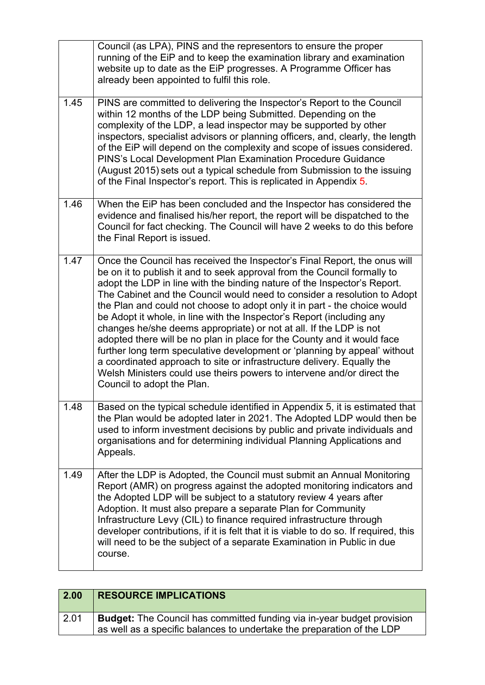|      | Council (as LPA), PINS and the representors to ensure the proper<br>running of the EiP and to keep the examination library and examination<br>website up to date as the EiP progresses. A Programme Officer has<br>already been appointed to fulfil this role.                                                                                                                                                                                                                                                                                                                                                                                                                                                                                                                                                                                                                      |
|------|-------------------------------------------------------------------------------------------------------------------------------------------------------------------------------------------------------------------------------------------------------------------------------------------------------------------------------------------------------------------------------------------------------------------------------------------------------------------------------------------------------------------------------------------------------------------------------------------------------------------------------------------------------------------------------------------------------------------------------------------------------------------------------------------------------------------------------------------------------------------------------------|
| 1.45 | PINS are committed to delivering the Inspector's Report to the Council<br>within 12 months of the LDP being Submitted. Depending on the<br>complexity of the LDP, a lead inspector may be supported by other<br>inspectors, specialist advisors or planning officers, and, clearly, the length<br>of the EiP will depend on the complexity and scope of issues considered.<br>PINS's Local Development Plan Examination Procedure Guidance<br>(August 2015) sets out a typical schedule from Submission to the issuing<br>of the Final Inspector's report. This is replicated in Appendix 5.                                                                                                                                                                                                                                                                                        |
| 1.46 | When the EiP has been concluded and the Inspector has considered the<br>evidence and finalised his/her report, the report will be dispatched to the<br>Council for fact checking. The Council will have 2 weeks to do this before<br>the Final Report is issued.                                                                                                                                                                                                                                                                                                                                                                                                                                                                                                                                                                                                                    |
| 1.47 | Once the Council has received the Inspector's Final Report, the onus will<br>be on it to publish it and to seek approval from the Council formally to<br>adopt the LDP in line with the binding nature of the Inspector's Report.<br>The Cabinet and the Council would need to consider a resolution to Adopt<br>the Plan and could not choose to adopt only it in part - the choice would<br>be Adopt it whole, in line with the Inspector's Report (including any<br>changes he/she deems appropriate) or not at all. If the LDP is not<br>adopted there will be no plan in place for the County and it would face<br>further long term speculative development or 'planning by appeal' without<br>a coordinated approach to site or infrastructure delivery. Equally the<br>Welsh Ministers could use theirs powers to intervene and/or direct the<br>Council to adopt the Plan. |
| 1.48 | Based on the typical schedule identified in Appendix 5, it is estimated that<br>the Plan would be adopted later in 2021. The Adopted LDP would then be<br>used to inform investment decisions by public and private individuals and<br>organisations and for determining individual Planning Applications and<br>Appeals.                                                                                                                                                                                                                                                                                                                                                                                                                                                                                                                                                           |
| 1.49 | After the LDP is Adopted, the Council must submit an Annual Monitoring<br>Report (AMR) on progress against the adopted monitoring indicators and<br>the Adopted LDP will be subject to a statutory review 4 years after<br>Adoption. It must also prepare a separate Plan for Community<br>Infrastructure Levy (CIL) to finance required infrastructure through<br>developer contributions, if it is felt that it is viable to do so. If required, this<br>will need to be the subject of a separate Examination in Public in due<br>course.                                                                                                                                                                                                                                                                                                                                        |

| 2.00 | <b>RESOURCE IMPLICATIONS</b>                                                                                                                                     |
|------|------------------------------------------------------------------------------------------------------------------------------------------------------------------|
| 2.01 | <b>Budget:</b> The Council has committed funding via in-year budget provision<br>$\alpha$ as well as a specific balances to undertake the preparation of the LDP |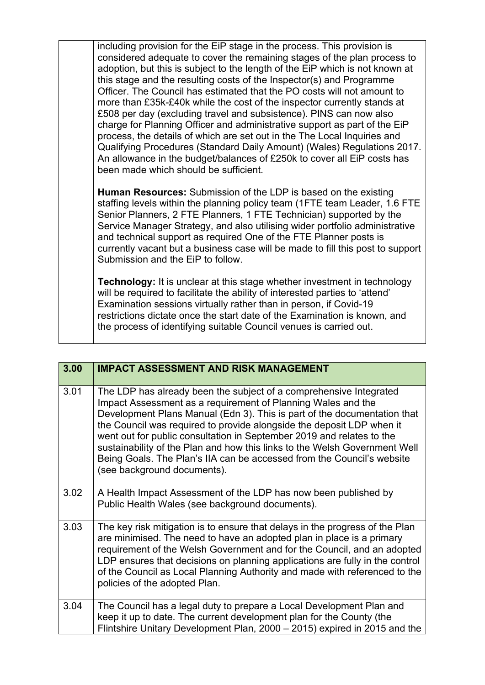including provision for the EiP stage in the process. This provision is considered adequate to cover the remaining stages of the plan process to adoption, but this is subject to the length of the EiP which is not known at this stage and the resulting costs of the Inspector(s) and Programme Officer. The Council has estimated that the PO costs will not amount to more than £35k-£40k while the cost of the inspector currently stands at £508 per day (excluding travel and subsistence). PINS can now also charge for Planning Officer and administrative support as part of the EiP process, the details of which are set out in the The Local Inquiries and Qualifying Procedures (Standard Daily Amount) (Wales) Regulations 2017. An allowance in the budget/balances of £250k to cover all EiP costs has been made which should be sufficient.

**Human Resources:** Submission of the LDP is based on the existing staffing levels within the planning policy team (1FTE team Leader, 1.6 FTE Senior Planners, 2 FTE Planners, 1 FTE Technician) supported by the Service Manager Strategy, and also utilising wider portfolio administrative and technical support as required One of the FTE Planner posts is currently vacant but a business case will be made to fill this post to support Submission and the EiP to follow.

**Technology:** It is unclear at this stage whether investment in technology will be required to facilitate the ability of interested parties to 'attend' Examination sessions virtually rather than in person, if Covid-19 restrictions dictate once the start date of the Examination is known, and the process of identifying suitable Council venues is carried out.

| 3.00 | <b>IMPACT ASSESSMENT AND RISK MANAGEMENT</b>                                                                                                                                                                                                                                                                                                                                                                                                                                                                                                            |
|------|---------------------------------------------------------------------------------------------------------------------------------------------------------------------------------------------------------------------------------------------------------------------------------------------------------------------------------------------------------------------------------------------------------------------------------------------------------------------------------------------------------------------------------------------------------|
| 3.01 | The LDP has already been the subject of a comprehensive Integrated<br>Impact Assessment as a requirement of Planning Wales and the<br>Development Plans Manual (Edn 3). This is part of the documentation that<br>the Council was required to provide alongside the deposit LDP when it<br>went out for public consultation in September 2019 and relates to the<br>sustainability of the Plan and how this links to the Welsh Government Well<br>Being Goals. The Plan's IIA can be accessed from the Council's website<br>(see background documents). |
| 3.02 | A Health Impact Assessment of the LDP has now been published by<br>Public Health Wales (see background documents).                                                                                                                                                                                                                                                                                                                                                                                                                                      |
| 3.03 | The key risk mitigation is to ensure that delays in the progress of the Plan<br>are minimised. The need to have an adopted plan in place is a primary<br>requirement of the Welsh Government and for the Council, and an adopted<br>LDP ensures that decisions on planning applications are fully in the control<br>of the Council as Local Planning Authority and made with referenced to the<br>policies of the adopted Plan.                                                                                                                         |
| 3.04 | The Council has a legal duty to prepare a Local Development Plan and<br>keep it up to date. The current development plan for the County (the<br>Flintshire Unitary Development Plan, 2000 – 2015) expired in 2015 and the                                                                                                                                                                                                                                                                                                                               |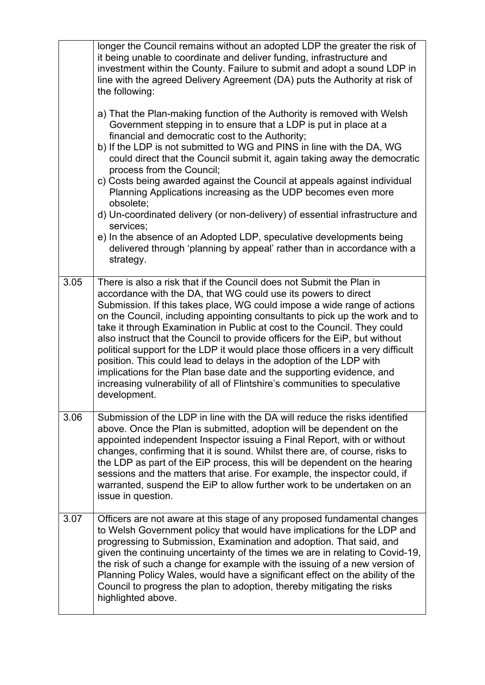|      | longer the Council remains without an adopted LDP the greater the risk of<br>it being unable to coordinate and deliver funding, infrastructure and<br>investment within the County. Failure to submit and adopt a sound LDP in<br>line with the agreed Delivery Agreement (DA) puts the Authority at risk of<br>the following:<br>a) That the Plan-making function of the Authority is removed with Welsh<br>Government stepping in to ensure that a LDP is put in place at a<br>financial and democratic cost to the Authority;<br>b) If the LDP is not submitted to WG and PINS in line with the DA, WG<br>could direct that the Council submit it, again taking away the democratic<br>process from the Council;<br>c) Costs being awarded against the Council at appeals against individual<br>Planning Applications increasing as the UDP becomes even more<br>obsolete;<br>d) Un-coordinated delivery (or non-delivery) of essential infrastructure and<br>services;<br>e) In the absence of an Adopted LDP, speculative developments being<br>delivered through 'planning by appeal' rather than in accordance with a |
|------|------------------------------------------------------------------------------------------------------------------------------------------------------------------------------------------------------------------------------------------------------------------------------------------------------------------------------------------------------------------------------------------------------------------------------------------------------------------------------------------------------------------------------------------------------------------------------------------------------------------------------------------------------------------------------------------------------------------------------------------------------------------------------------------------------------------------------------------------------------------------------------------------------------------------------------------------------------------------------------------------------------------------------------------------------------------------------------------------------------------------------|
|      | strategy.                                                                                                                                                                                                                                                                                                                                                                                                                                                                                                                                                                                                                                                                                                                                                                                                                                                                                                                                                                                                                                                                                                                    |
| 3.05 | There is also a risk that if the Council does not Submit the Plan in<br>accordance with the DA, that WG could use its powers to direct<br>Submission. If this takes place, WG could impose a wide range of actions<br>on the Council, including appointing consultants to pick up the work and to<br>take it through Examination in Public at cost to the Council. They could<br>also instruct that the Council to provide officers for the EiP, but without<br>political support for the LDP it would place those officers in a very difficult<br>position. This could lead to delays in the adoption of the LDP with<br>implications for the Plan base date and the supporting evidence, and<br>increasing vulnerability of all of Flintshire's communities to speculative<br>development.                                                                                                                                                                                                                                                                                                                                 |
| 3.06 | Submission of the LDP in line with the DA will reduce the risks identified<br>above. Once the Plan is submitted, adoption will be dependent on the<br>appointed independent Inspector issuing a Final Report, with or without<br>changes, confirming that it is sound. Whilst there are, of course, risks to<br>the LDP as part of the EiP process, this will be dependent on the hearing<br>sessions and the matters that arise. For example, the inspector could, if<br>warranted, suspend the EiP to allow further work to be undertaken on an<br>issue in question.                                                                                                                                                                                                                                                                                                                                                                                                                                                                                                                                                      |
| 3.07 | Officers are not aware at this stage of any proposed fundamental changes<br>to Welsh Government policy that would have implications for the LDP and<br>progressing to Submission, Examination and adoption. That said, and<br>given the continuing uncertainty of the times we are in relating to Covid-19,<br>the risk of such a change for example with the issuing of a new version of<br>Planning Policy Wales, would have a significant effect on the ability of the<br>Council to progress the plan to adoption, thereby mitigating the risks<br>highlighted above.                                                                                                                                                                                                                                                                                                                                                                                                                                                                                                                                                    |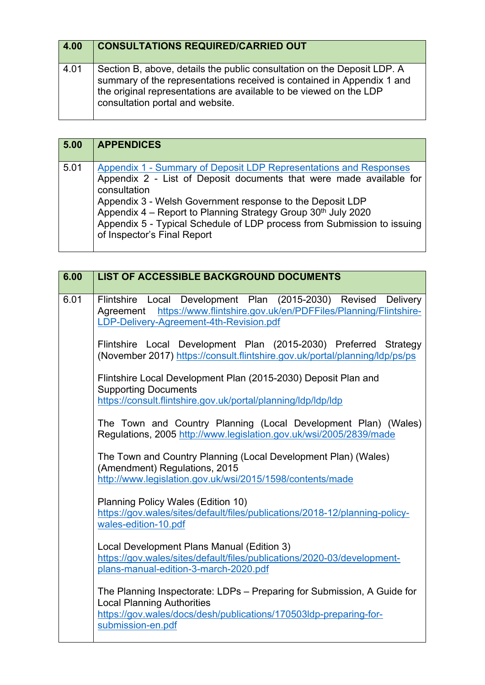| 4.00 | <b>CONSULTATIONS REQUIRED/CARRIED OUT</b>                                                                                                                                                                                                                   |
|------|-------------------------------------------------------------------------------------------------------------------------------------------------------------------------------------------------------------------------------------------------------------|
| 4.01 | Section B, above, details the public consultation on the Deposit LDP. A<br>summary of the representations received is contained in Appendix 1 and<br>the original representations are available to be viewed on the LDP<br>consultation portal and website. |

| 5.00 | <b>APPENDICES</b>                                                                                                                                                                                                                                                                                                                                                                                |
|------|--------------------------------------------------------------------------------------------------------------------------------------------------------------------------------------------------------------------------------------------------------------------------------------------------------------------------------------------------------------------------------------------------|
| 5.01 | Appendix 1 - Summary of Deposit LDP Representations and Responses<br>Appendix 2 - List of Deposit documents that were made available for<br>consultation<br>Appendix 3 - Welsh Government response to the Deposit LDP<br>Appendix 4 – Report to Planning Strategy Group 30th July 2020<br>Appendix 5 - Typical Schedule of LDP process from Submission to issuing<br>of Inspector's Final Report |

| 6.00 | <b>LIST OF ACCESSIBLE BACKGROUND DOCUMENTS</b>                                                                                                                                                         |
|------|--------------------------------------------------------------------------------------------------------------------------------------------------------------------------------------------------------|
| 6.01 | Flintshire Local Development Plan (2015-2030) Revised<br><b>Delivery</b><br>Agreement https://www.flintshire.gov.uk/en/PDFFiles/Planning/Flintshire-<br>LDP-Delivery-Agreement-4th-Revision.pdf        |
|      | Flintshire Local Development Plan (2015-2030) Preferred Strategy<br>(November 2017) https://consult.flintshire.gov.uk/portal/planning/ldp/ps/ps                                                        |
|      | Flintshire Local Development Plan (2015-2030) Deposit Plan and<br><b>Supporting Documents</b><br>https://consult.flintshire.gov.uk/portal/planning/ldp/ldp/ldp                                         |
|      | The Town and Country Planning (Local Development Plan) (Wales)<br>Regulations, 2005 http://www.legislation.gov.uk/wsi/2005/2839/made                                                                   |
|      | The Town and Country Planning (Local Development Plan) (Wales)<br>(Amendment) Regulations, 2015<br>http://www.legislation.gov.uk/wsi/2015/1598/contents/made                                           |
|      | Planning Policy Wales (Edition 10)<br>https://gov.wales/sites/default/files/publications/2018-12/planning-policy-<br>wales-edition-10.pdf                                                              |
|      | Local Development Plans Manual (Edition 3)<br>https://gov.wales/sites/default/files/publications/2020-03/development-<br>plans-manual-edition-3-march-2020.pdf                                         |
|      | The Planning Inspectorate: LDPs - Preparing for Submission, A Guide for<br><b>Local Planning Authorities</b><br>https://gov.wales/docs/desh/publications/170503ldp-preparing-for-<br>submission-en.pdf |